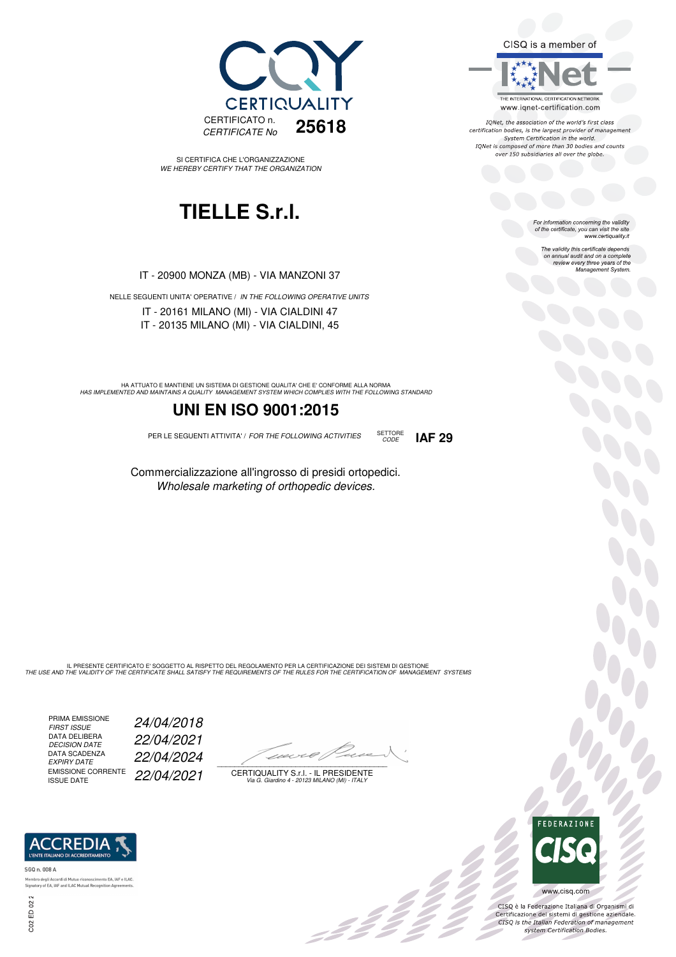

SI CERTIFICA CHE L'ORGANIZZAZIONE WE HEREBY CERTIFY THAT THE ORGANIZATION

## **TIELLE S.r.l.**

IT - 20900 MONZA (MB) - VIA MANZONI 37

NELLE SEGUENTI UNITA' OPERATIVE / IN THE FOLLOWING OPERATIVE UNITS IT - 20161 MILANO (MI) - VIA CIALDINI 47 IT - 20135 MILANO (MI) - VIA CIALDINI, 45

HA ATTUATO E MANTIENE UN SISTEMA DI GESTIONE QUALITA' CHE E' CONFORME ALLA NORMA<br>HAS IMPLEMENTED AND MAINTAINS A QUALITY MANAGEMENT SYSTEM WHICH COMPLIES WITH THE FOLLOWING STANDARD

#### **UNI EN ISO 9001:2015**

PER LE SEGUENTI ATTIVITA' / FOR THE FOLLOWING ACTIVITIES SETTORE

Commercializzazione all'ingrosso di presidi ortopedici. Wholesale marketing of orthopedic devices.

CODE **IAF 29**

IL PRESENTE CERTIFICATO E' SOGGETTO AL RISPETTO DEL REGOLAMENTO PER LA CERTIFICAZIONE DEI SISTEMI DI GESTIONE<br>THE USE AND THE VALIDITY OF THE CERTIFICATE SHALL SATISFY THE REQUIREMENTS OF THE RULES FOR THE CERTIFICATION OF

PRIMA EMISSIONE<br>FIRST ISSUE DATA DELIBERA<br>DECISION DATE DATA SCADENZA<br>EXPIRY DATE EMISSIONE CORRENTE<br>ISSUE DATE

24/04/2018 DECISION DATE 22/04/2021 EXPIRY DATE 22/04/2024 22/04/2021

 $\overline{\phantom{a}}$ 

, 3 3 3 3 3

CERTIQUALITY S.r.l. - IL PRESIDENTE Via G. Giardino 4 - 20123 MILANO (MI) - ITALY



300

CISQ è la Federazione Italiana di Organismi di Certificazione dei sistemi di gestione aziendale.<br>CISQ is the Italian Federation of management system Certification Bodies.



to EA, IAF e ILAC. Membro degli Ac Signatory of EA, IAF and ILAC Mutual Recognition Agre



For information concerning the validity<br>of the certificate, you can visit the site<br>www.certiquality.it

CISQ is a member of

THE INTERNATIONAL CERTIFICATION NETWORK

www.iqnet-certification.com IONet, the association of the world's first class certification bodies, is the largest provider of management System Certification in the world. IQNet is composed of more than 30 bodies and counts over 150 subsidiaries all over the globe.

> The validity this certificate depends on annual audit and on a complete review every three years of the Management System